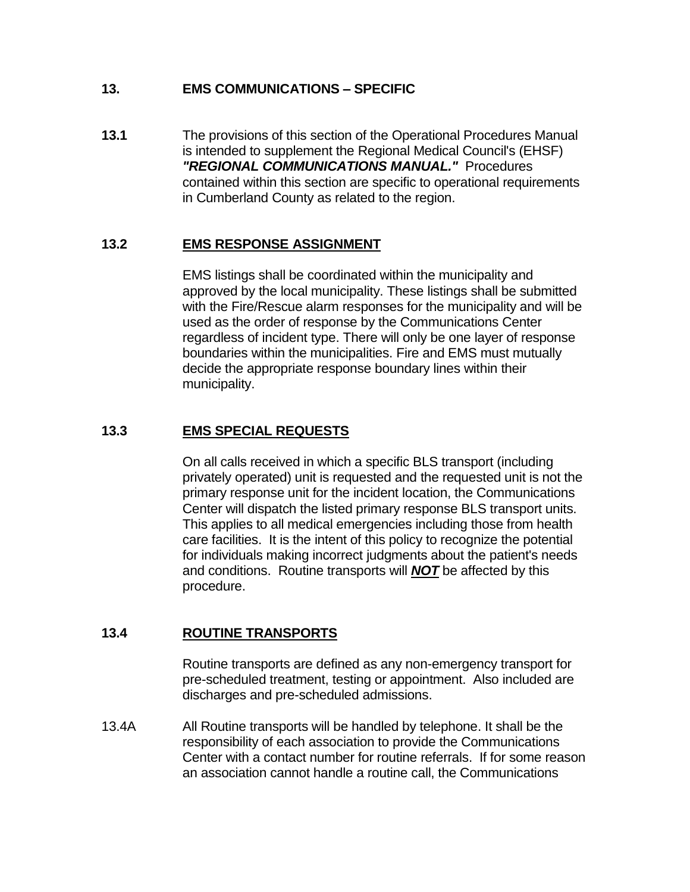## **13. EMS COMMUNICATIONS – SPECIFIC**

**13.1** The provisions of this section of the Operational Procedures Manual is intended to supplement the Regional Medical Council's (EHSF) *"REGIONAL COMMUNICATIONS MANUAL."* Procedures contained within this section are specific to operational requirements in Cumberland County as related to the region.

## **13.2 EMS RESPONSE ASSIGNMENT**

EMS listings shall be coordinated within the municipality and approved by the local municipality. These listings shall be submitted with the Fire/Rescue alarm responses for the municipality and will be used as the order of response by the Communications Center regardless of incident type. There will only be one layer of response boundaries within the municipalities. Fire and EMS must mutually decide the appropriate response boundary lines within their municipality.

## **13.3 EMS SPECIAL REQUESTS**

On all calls received in which a specific BLS transport (including privately operated) unit is requested and the requested unit is not the primary response unit for the incident location, the Communications Center will dispatch the listed primary response BLS transport units. This applies to all medical emergencies including those from health care facilities. It is the intent of this policy to recognize the potential for individuals making incorrect judgments about the patient's needs and conditions. Routine transports will *NOT* be affected by this procedure.

### **13.4 ROUTINE TRANSPORTS**

Routine transports are defined as any non-emergency transport for pre-scheduled treatment, testing or appointment. Also included are discharges and pre-scheduled admissions.

13.4A All Routine transports will be handled by telephone. It shall be the responsibility of each association to provide the Communications Center with a contact number for routine referrals. If for some reason an association cannot handle a routine call, the Communications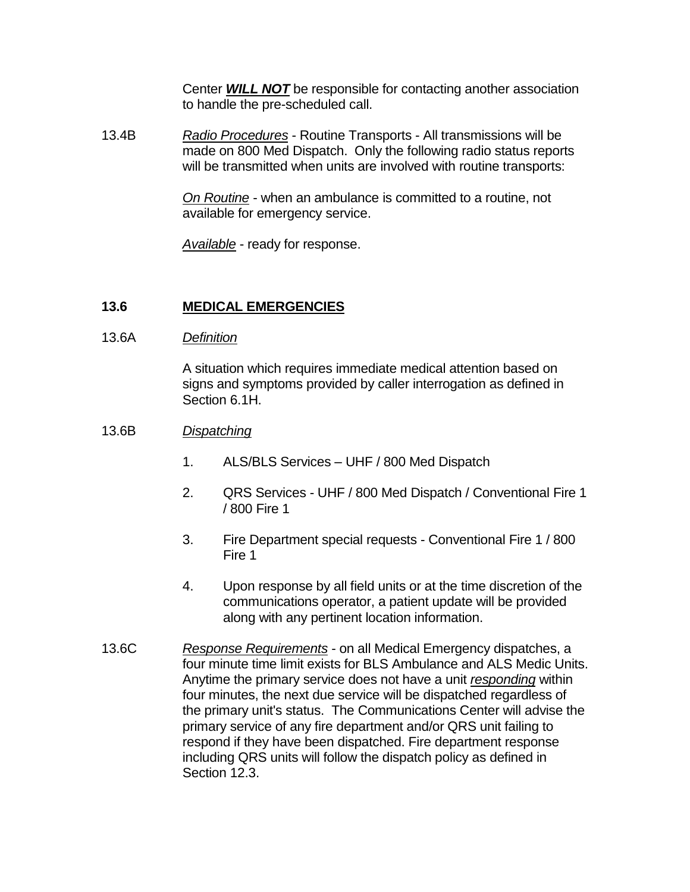Center *WILL NOT* be responsible for contacting another association to handle the pre-scheduled call.

13.4B *Radio Procedures* - Routine Transports - All transmissions will be made on 800 Med Dispatch. Only the following radio status reports will be transmitted when units are involved with routine transports:

> *On Routine* - when an ambulance is committed to a routine, not available for emergency service.

*Available* - ready for response.

## **13.6 MEDICAL EMERGENCIES**

#### 13.6A *Definition*

A situation which requires immediate medical attention based on signs and symptoms provided by caller interrogation as defined in Section 6.1H.

#### 13.6B *Dispatching*

- 1. ALS/BLS Services UHF / 800 Med Dispatch
- 2. QRS Services UHF / 800 Med Dispatch / Conventional Fire 1 / 800 Fire 1
- 3. Fire Department special requests Conventional Fire 1 / 800 Fire 1
- 4. Upon response by all field units or at the time discretion of the communications operator, a patient update will be provided along with any pertinent location information.
- 13.6C *Response Requirements* on all Medical Emergency dispatches, a four minute time limit exists for BLS Ambulance and ALS Medic Units. Anytime the primary service does not have a unit *responding* within four minutes, the next due service will be dispatched regardless of the primary unit's status. The Communications Center will advise the primary service of any fire department and/or QRS unit failing to respond if they have been dispatched. Fire department response including QRS units will follow the dispatch policy as defined in Section 12.3.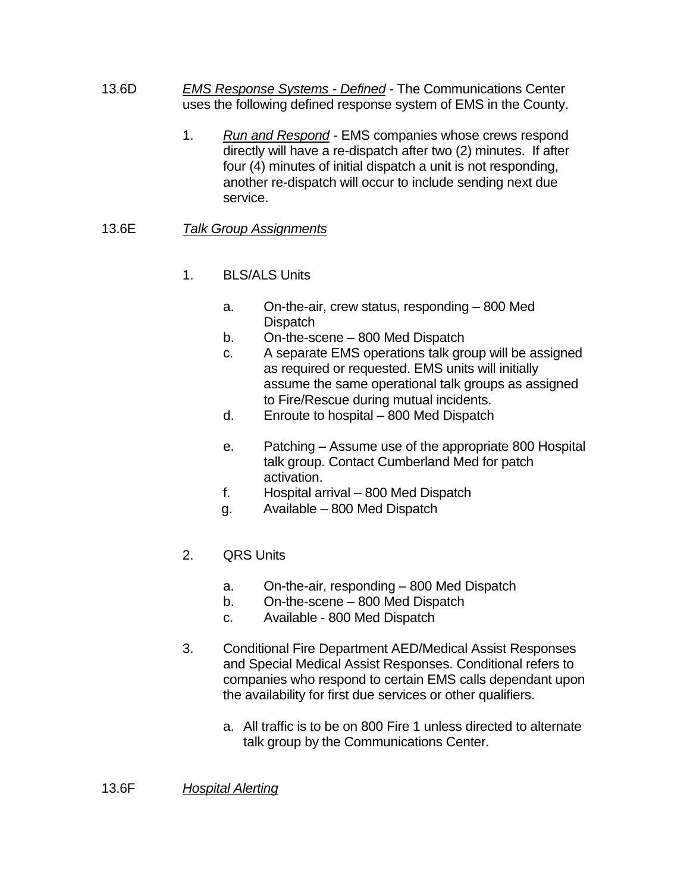- 13.6D *EMS Response Systems - Defined* The Communications Center uses the following defined response system of EMS in the County.
	- 1. *Run and Respond* EMS companies whose crews respond directly will have a re-dispatch after two (2) minutes. If after four (4) minutes of initial dispatch a unit is not responding, another re-dispatch will occur to include sending next due service.

### 13.6E *Talk Group Assignments*

- 1. BLS/ALS Units
	- a. On-the-air, crew status, responding 800 Med Dispatch
	- b. On-the-scene 800 Med Dispatch
	- c. A separate EMS operations talk group will be assigned as required or requested. EMS units will initially assume the same operational talk groups as assigned to Fire/Rescue during mutual incidents.
	- d. Enroute to hospital 800 Med Dispatch
	- e. Patching Assume use of the appropriate 800 Hospital talk group. Contact Cumberland Med for patch activation.
	- f. Hospital arrival 800 Med Dispatch
	- g. Available 800 Med Dispatch
- 2. QRS Units
	- a. On-the-air, responding 800 Med Dispatch
	- b. On-the-scene 800 Med Dispatch
	- c. Available 800 Med Dispatch
- 3. Conditional Fire Department AED/Medical Assist Responses and Special Medical Assist Responses. Conditional refers to companies who respond to certain EMS calls dependant upon the availability for first due services or other qualifiers.
	- a. All traffic is to be on 800 Fire 1 unless directed to alternate talk group by the Communications Center.

13.6F *Hospital Alerting*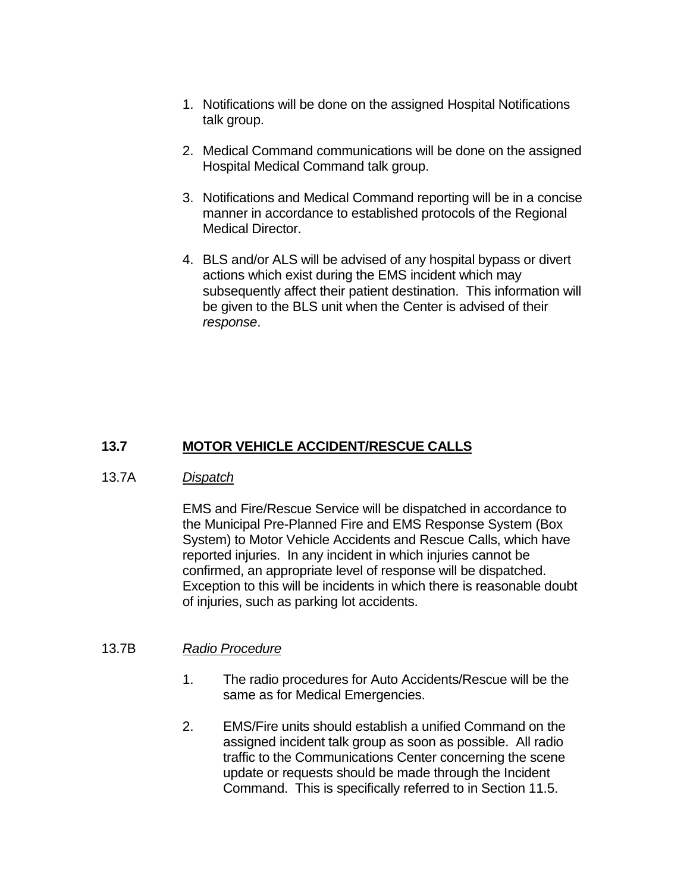- 1. Notifications will be done on the assigned Hospital Notifications talk group.
- 2. Medical Command communications will be done on the assigned Hospital Medical Command talk group.
- 3. Notifications and Medical Command reporting will be in a concise manner in accordance to established protocols of the Regional Medical Director.
- 4. BLS and/or ALS will be advised of any hospital bypass or divert actions which exist during the EMS incident which may subsequently affect their patient destination. This information will be given to the BLS unit when the Center is advised of their *response*.

# **13.7 MOTOR VEHICLE ACCIDENT/RESCUE CALLS**

#### 13.7A *Dispatch*

EMS and Fire/Rescue Service will be dispatched in accordance to the Municipal Pre-Planned Fire and EMS Response System (Box System) to Motor Vehicle Accidents and Rescue Calls, which have reported injuries. In any incident in which injuries cannot be confirmed, an appropriate level of response will be dispatched. Exception to this will be incidents in which there is reasonable doubt of injuries, such as parking lot accidents.

#### 13.7B *Radio Procedure*

- 1. The radio procedures for Auto Accidents/Rescue will be the same as for Medical Emergencies.
- 2. EMS/Fire units should establish a unified Command on the assigned incident talk group as soon as possible. All radio traffic to the Communications Center concerning the scene update or requests should be made through the Incident Command. This is specifically referred to in Section 11.5.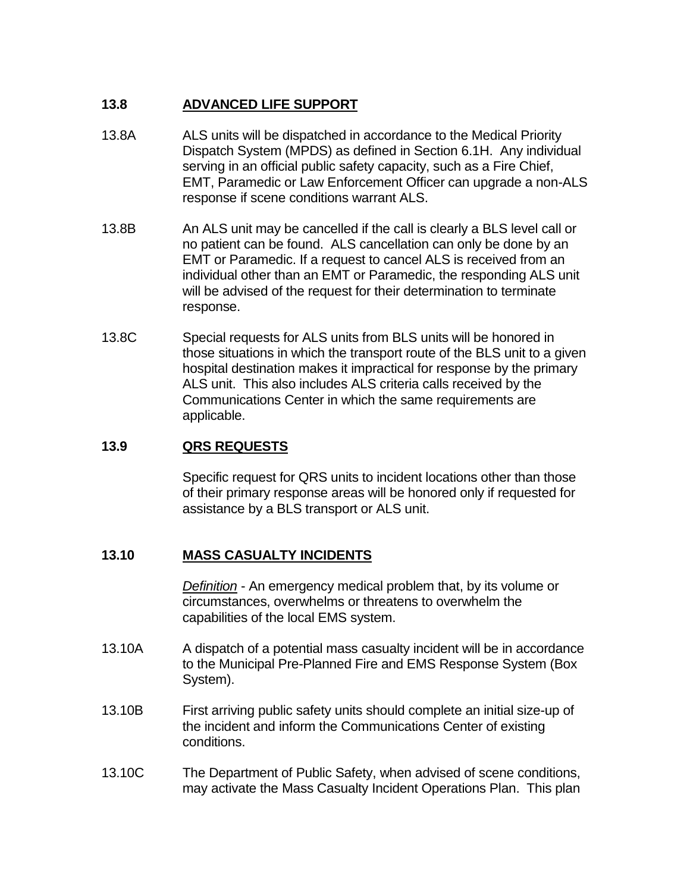# **13.8 ADVANCED LIFE SUPPORT**

- 13.8A ALS units will be dispatched in accordance to the Medical Priority Dispatch System (MPDS) as defined in Section 6.1H. Any individual serving in an official public safety capacity, such as a Fire Chief, EMT, Paramedic or Law Enforcement Officer can upgrade a non-ALS response if scene conditions warrant ALS.
- 13.8B An ALS unit may be cancelled if the call is clearly a BLS level call or no patient can be found. ALS cancellation can only be done by an EMT or Paramedic. If a request to cancel ALS is received from an individual other than an EMT or Paramedic, the responding ALS unit will be advised of the request for their determination to terminate response.
- 13.8C Special requests for ALS units from BLS units will be honored in those situations in which the transport route of the BLS unit to a given hospital destination makes it impractical for response by the primary ALS unit. This also includes ALS criteria calls received by the Communications Center in which the same requirements are applicable.

## **13.9 QRS REQUESTS**

Specific request for QRS units to incident locations other than those of their primary response areas will be honored only if requested for assistance by a BLS transport or ALS unit.

### **13.10 MASS CASUALTY INCIDENTS**

*Definition* - An emergency medical problem that, by its volume or circumstances, overwhelms or threatens to overwhelm the capabilities of the local EMS system.

- 13.10A A dispatch of a potential mass casualty incident will be in accordance to the Municipal Pre-Planned Fire and EMS Response System (Box System).
- 13.10B First arriving public safety units should complete an initial size-up of the incident and inform the Communications Center of existing conditions.
- 13.10C The Department of Public Safety, when advised of scene conditions, may activate the Mass Casualty Incident Operations Plan. This plan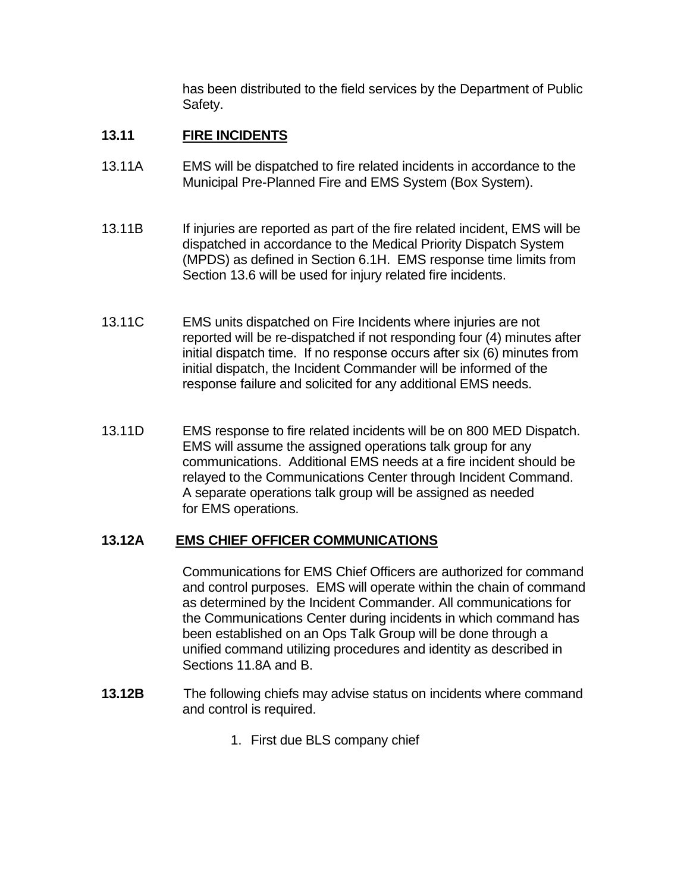has been distributed to the field services by the Department of Public Safety.

## **13.11 FIRE INCIDENTS**

- 13.11A EMS will be dispatched to fire related incidents in accordance to the Municipal Pre-Planned Fire and EMS System (Box System).
- 13.11B If injuries are reported as part of the fire related incident, EMS will be dispatched in accordance to the Medical Priority Dispatch System (MPDS) as defined in Section 6.1H. EMS response time limits from Section 13.6 will be used for injury related fire incidents.
- 13.11C EMS units dispatched on Fire Incidents where injuries are not reported will be re-dispatched if not responding four (4) minutes after initial dispatch time. If no response occurs after six (6) minutes from initial dispatch, the Incident Commander will be informed of the response failure and solicited for any additional EMS needs.
- 13.11D EMS response to fire related incidents will be on 800 MED Dispatch. EMS will assume the assigned operations talk group for any communications. Additional EMS needs at a fire incident should be relayed to the Communications Center through Incident Command. A separate operations talk group will be assigned as needed for EMS operations.

### **13.12A EMS CHIEF OFFICER COMMUNICATIONS**

Communications for EMS Chief Officers are authorized for command and control purposes. EMS will operate within the chain of command as determined by the Incident Commander. All communications for the Communications Center during incidents in which command has been established on an Ops Talk Group will be done through a unified command utilizing procedures and identity as described in Sections 11.8A and B.

- **13.12B** The following chiefs may advise status on incidents where command and control is required.
	- 1. First due BLS company chief